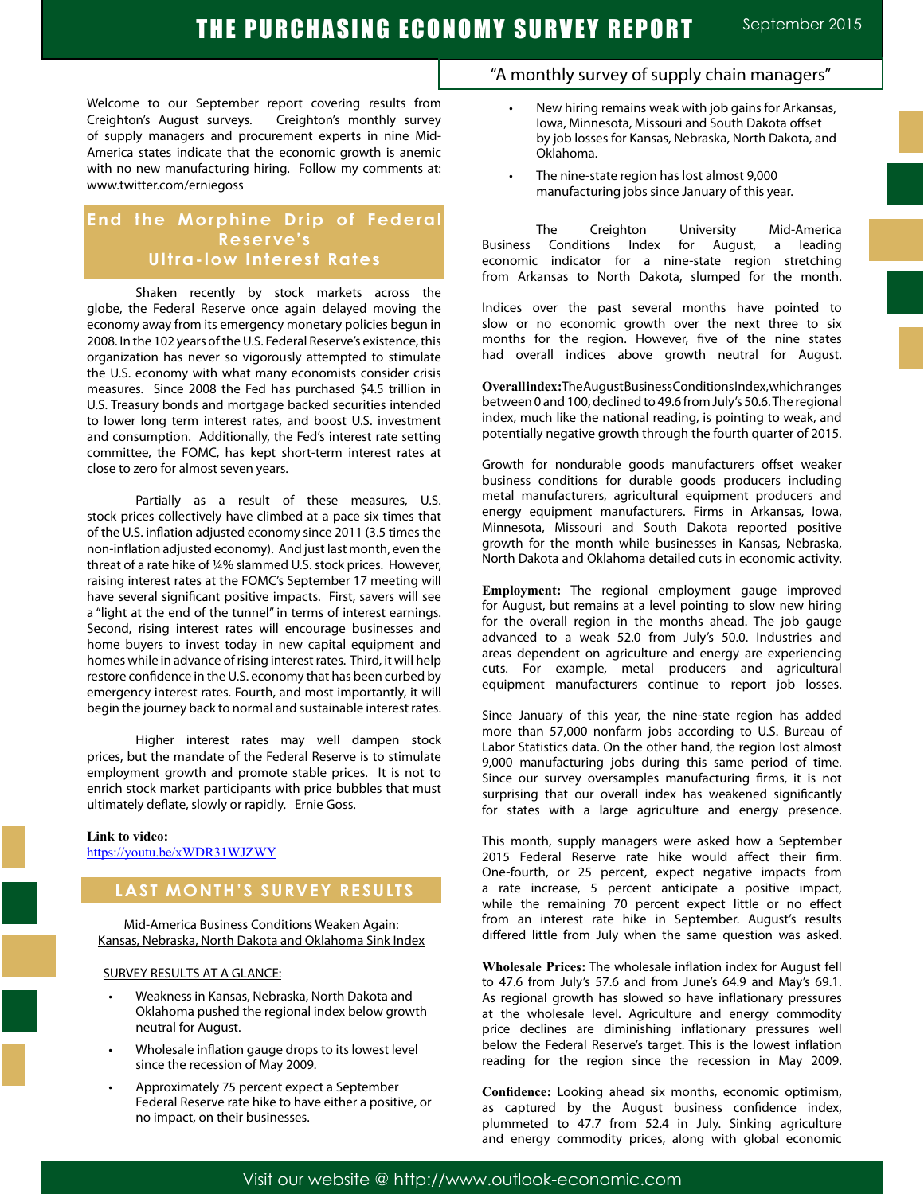## THE PURCHASING ECONOMY SURVEY REPORT September 2015

Welcome to our September report covering results from Creighton's August surveys. Creighton's monthly survey of supply managers and procurement experts in nine Mid-America states indicate that the economic growth is anemic with no new manufacturing hiring. Follow my comments at: www.twitter.com/erniegoss

## **End the Morphine Drip of Federal Reser ve's Ultra-low Interest Rates**

Shaken recently by stock markets across the globe, the Federal Reserve once again delayed moving the economy away from its emergency monetary policies begun in 2008. In the 102 years of the U.S. Federal Reserve's existence, this organization has never so vigorously attempted to stimulate the U.S. economy with what many economists consider crisis measures. Since 2008 the Fed has purchased \$4.5 trillion in U.S. Treasury bonds and mortgage backed securities intended to lower long term interest rates, and boost U.S. investment and consumption. Additionally, the Fed's interest rate setting committee, the FOMC, has kept short-term interest rates at close to zero for almost seven years.

Partially as a result of these measures, U.S. stock prices collectively have climbed at a pace six times that of the U.S. inflation adjusted economy since 2011 (3.5 times the non-inflation adjusted economy). And just last month, even the threat of a rate hike of ¼% slammed U.S. stock prices. However, raising interest rates at the FOMC's September 17 meeting will have several significant positive impacts. First, savers will see a "light at the end of the tunnel" in terms of interest earnings. Second, rising interest rates will encourage businesses and home buyers to invest today in new capital equipment and homes while in advance of rising interest rates. Third, it will help restore confidence in the U.S. economy that has been curbed by emergency interest rates. Fourth, and most importantly, it will begin the journey back to normal and sustainable interest rates.

Higher interest rates may well dampen stock prices, but the mandate of the Federal Reserve is to stimulate employment growth and promote stable prices. It is not to enrich stock market participants with price bubbles that must ultimately deflate, slowly or rapidly. Ernie Goss.

#### **Link to video:**

https://youtu.be/xWDR31WJZWY

## **LAST MONTH'S SURVEY RESULTS**

Mid-America Business Conditions Weaken Again: Kansas, Nebraska, North Dakota and Oklahoma Sink Index

#### SURVEY RESULTS AT A GLANCE:

- Weakness in Kansas, Nebraska, North Dakota and Oklahoma pushed the regional index below growth neutral for August.
- Wholesale inflation gauge drops to its lowest level since the recession of May 2009.
- Approximately 75 percent expect a September Federal Reserve rate hike to have either a positive, or no impact, on their businesses.

### "A monthly survey of supply chain managers"

- New hiring remains weak with job gains for Arkansas, Iowa, Minnesota, Missouri and South Dakota offset by job losses for Kansas, Nebraska, North Dakota, and Oklahoma.
- The nine-state region has lost almost 9,000 manufacturing jobs since January of this year.

The Creighton University Mid-America Business Conditions Index for August, a leading economic indicator for a nine-state region stretching from Arkansas to North Dakota, slumped for the month.

Indices over the past several months have pointed to slow or no economic growth over the next three to six months for the region. However, five of the nine states had overall indices above growth neutral for August.

**Overall index:** The August Business Conditions Index, which ranges between 0 and 100, declined to 49.6 from July's 50.6. The regional index, much like the national reading, is pointing to weak, and potentially negative growth through the fourth quarter of 2015.

Growth for nondurable goods manufacturers offset weaker business conditions for durable goods producers including metal manufacturers, agricultural equipment producers and energy equipment manufacturers. Firms in Arkansas, Iowa, Minnesota, Missouri and South Dakota reported positive growth for the month while businesses in Kansas, Nebraska, North Dakota and Oklahoma detailed cuts in economic activity.

**Employment:** The regional employment gauge improved for August, but remains at a level pointing to slow new hiring for the overall region in the months ahead. The job gauge advanced to a weak 52.0 from July's 50.0. Industries and areas dependent on agriculture and energy are experiencing cuts. For example, metal producers and agricultural equipment manufacturers continue to report job losses.

Since January of this year, the nine-state region has added more than 57,000 nonfarm jobs according to U.S. Bureau of Labor Statistics data. On the other hand, the region lost almost 9,000 manufacturing jobs during this same period of time. Since our survey oversamples manufacturing firms, it is not surprising that our overall index has weakened significantly for states with a large agriculture and energy presence.

This month, supply managers were asked how a September 2015 Federal Reserve rate hike would affect their firm. One-fourth, or 25 percent, expect negative impacts from a rate increase, 5 percent anticipate a positive impact, while the remaining 70 percent expect little or no effect from an interest rate hike in September. August's results differed little from July when the same question was asked.

**Wholesale Prices:** The wholesale inflation index for August fell to 47.6 from July's 57.6 and from June's 64.9 and May's 69.1. As regional growth has slowed so have inflationary pressures at the wholesale level. Agriculture and energy commodity price declines are diminishing inflationary pressures well below the Federal Reserve's target. This is the lowest inflation reading for the region since the recession in May 2009.

**Confidence:** Looking ahead six months, economic optimism, as captured by the August business confidence index, plummeted to 47.7 from 52.4 in July. Sinking agriculture and energy commodity prices, along with global economic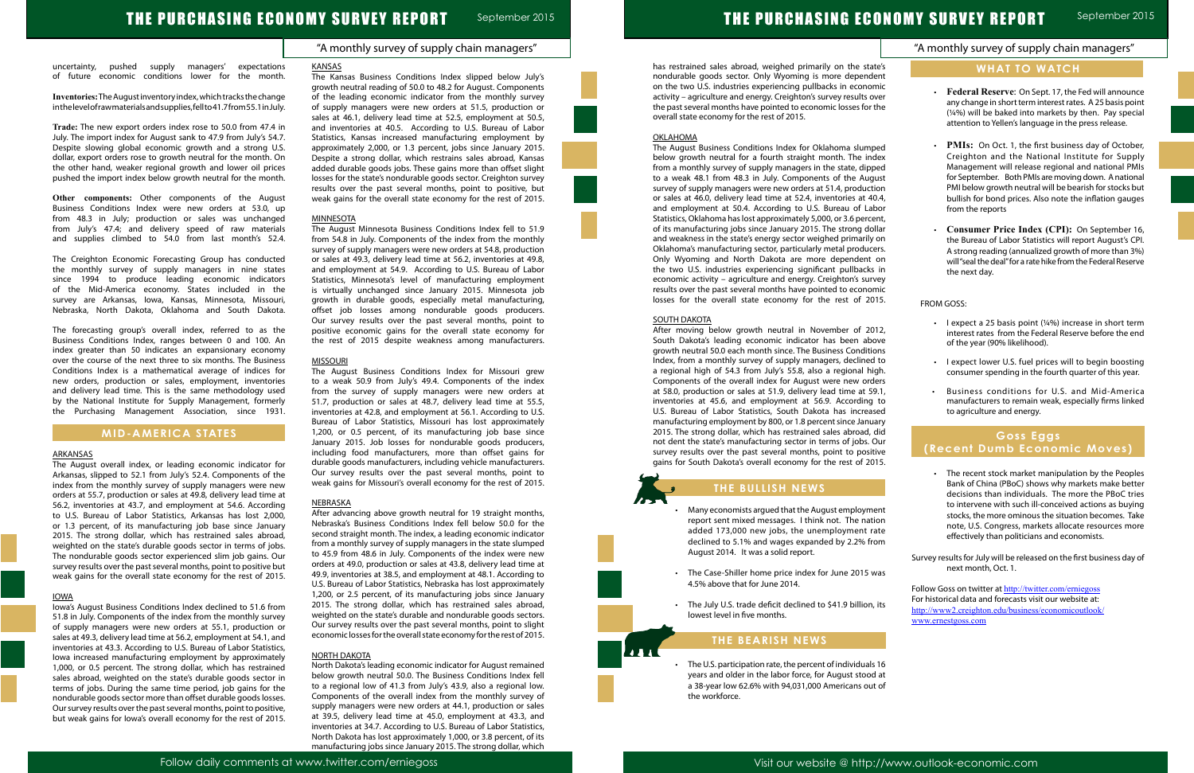### "A monthly survey of supply chain managers"

# THE PURCHASING ECONOMY SURVEY REPORT September 2015

uncertainty, pushed supply managers' expectations of future economic conditions lower for the month.

**Inventories:** The August inventory index, which tracks the change in the level of raw materials and supplies, fell to 41.7 from 55.1 in July.

**Trade:** The new export orders index rose to 50.0 from 47.4 in July. The import index for August sank to 47.9 from July's 54.7. Despite slowing global economic growth and a strong U.S. dollar, export orders rose to growth neutral for the month. On the other hand, weaker regional growth and lower oil prices pushed the import index below growth neutral for the month.

**Other components:** Other components of the August Business Conditions Index were new orders at 53.0, up from 48.3 in July; production or sales was unchanged from July's 47.4; and delivery speed of raw materials and supplies climbed to 54.0 from last month's 52.4.

The Creighton Economic Forecasting Group has conducted the monthly survey of supply managers in nine states since 1994 to produce leading economic indicators of the Mid-America economy. States included in the survey are Arkansas, Iowa, Kansas, Minnesota, Missouri, Nebraska, North Dakota, Oklahoma and South Dakota.

The forecasting group's overall index, referred to as the Business Conditions Index, ranges between 0 and 100. An index greater than 50 indicates an expansionary economy over the course of the next three to six months. The Business Conditions Index is a mathematical average of indices for new orders, production or sales, employment, inventories and delivery lead time. This is the same methodology used by the National Institute for Supply Management, formerly the Purchasing Management Association, since 1931.

### **MID-AMERICA STATES**

#### ARKANSAS

The August overall index, or leading economic indicator for Arkansas, slipped to 52.1 from July's 52.4. Components of the index from the monthly survey of supply managers were new orders at 55.7, production or sales at 49.8, delivery lead time at 56.2, inventories at 43.7, and employment at 54.6. According to U.S. Bureau of Labor Statistics, Arkansas has lost 2,000, or 1.3 percent, of its manufacturing job base since January 2015. The strong dollar, which has restrained sales abroad, weighted on the state's durable goods sector in terms of jobs. The nondurable goods sector experienced slim job gains. Our survey results over the past several months, point to positive but weak gains for the overall state economy for the rest of 2015.

#### IOWA

Iowa's August Business Conditions Index declined to 51.6 from 51.8 in July. Components of the index from the monthly survey of supply managers were new orders at 55.1, production or sales at 49.3, delivery lead time at 56.2, employment at 54.1, and inventories at 43.3. According to U.S. Bureau of Labor Statistics, Iowa increased manufacturing employment by approximately 1,000, or 0.5 percent. The strong dollar, which has restrained sales abroad, weighted on the state's durable goods sector in terms of jobs. During the same time period, job gains for the nondurable goods sector more than offset durable goods losses. Our survey results over the past several months, point to positive, but weak gains for Iowa's overall economy for the rest of 2015.

#### KANSAS

The Kansas Business Conditions Index slipped below July's growth neutral reading of 50.0 to 48.2 for August. Components of the leading economic indicator from the monthly survey of supply managers were new orders at 51.5, production or sales at 46.1, delivery lead time at 52.5, employment at 50.5, and inventories at 40.5. According to U.S. Bureau of Labor Statistics, Kansas increased manufacturing employment by approximately 2,000, or 1.3 percent, jobs since January 2015. Despite a strong dollar, which restrains sales abroad, Kansas added durable goods jobs. These gains more than offset slight losses for the state's nondurable goods sector. Creighton survey results over the past several months, point to positive, but weak gains for the overall state economy for the rest of 2015.

#### **MINNESOTA**

The August Minnesota Business Conditions Index fell to 51.9 from 54.8 in July. Components of the index from the monthly survey of supply managers were new orders at 54.8, production or sales at 49.3, delivery lead time at 56.2, inventories at 49.8, and employment at 54.9. According to U.S. Bureau of Labor Statistics, Minnesota's level of manufacturing employment is virtually unchanged since January 2015. Minnesota job growth in durable goods, especially metal manufacturing, offset job losses among nondurable goods producers. Our survey results over the past several months, point to positive economic gains for the overall state economy for the rest of 2015 despite weakness among manufacturers.

- Many economists argued that the August employment report sent mixed messages. I think not. The nati added 173,000 new jobs, the unemployment ra declined to 5.1% and wages expanded by 2.2% from August 2014. It was a solid report.
- The Case-Shiller home price index for June 2015 v 4.5% above that for June 2014.
- The July U.S. trade deficit declined to \$41.9 billion, lowest level in five months.

• The U.S. participation rate, the percent of individual years and older in the labor force, for August stood a 38-year low 62.6% with 94,031,000 Americans out of the workforce.

#### MISSOURI

The August Business Conditions Index for Missouri grew to a weak 50.9 from July's 49.4. Components of the index from the survey of supply managers were new orders at 51.7, production or sales at 48.7, delivery lead time at 55.5, inventories at 42.8, and employment at 56.1. According to U.S. Bureau of Labor Statistics, Missouri has lost approximately 1,200, or 0.5 percent, of its manufacturing job base since January 2015. Job losses for nondurable goods producers, including food manufacturers, more than offset gains for durable goods manufacturers, including vehicle manufacturers. Our survey results over the past several months, point to weak gains for Missouri's overall economy for the rest of 2015.

#### **NEBRASKA**

|                                                                                                                                                                                                                                                                                                                                                                                                                                                                                                                                                                                                                                                                                                                                                                                                                                                                                                                                                                                                                                                                                      | "A monthly survey of supply chain managers"                                                                                                                                                                                                                                                                                                                                                                                                                                                                                                                                                                                               |
|--------------------------------------------------------------------------------------------------------------------------------------------------------------------------------------------------------------------------------------------------------------------------------------------------------------------------------------------------------------------------------------------------------------------------------------------------------------------------------------------------------------------------------------------------------------------------------------------------------------------------------------------------------------------------------------------------------------------------------------------------------------------------------------------------------------------------------------------------------------------------------------------------------------------------------------------------------------------------------------------------------------------------------------------------------------------------------------|-------------------------------------------------------------------------------------------------------------------------------------------------------------------------------------------------------------------------------------------------------------------------------------------------------------------------------------------------------------------------------------------------------------------------------------------------------------------------------------------------------------------------------------------------------------------------------------------------------------------------------------------|
| has restrained sales abroad, weighed primarily on the state's<br>nondurable goods sector. Only Wyoming is more dependent<br>on the two U.S. industries experiencing pullbacks in economic<br>activity - agriculture and energy. Creighton's survey results over<br>the past several months have pointed to economic losses for the<br>overall state economy for the rest of 2015.                                                                                                                                                                                                                                                                                                                                                                                                                                                                                                                                                                                                                                                                                                    | <b>WHAT TO WATCH</b><br>Federal Reserve: On Sept. 17, the Fed will announce<br>any change in short term interest rates. A 25 basis point<br>(1/4%) will be baked into markets by then. Pay special<br>attention to Yellen's language in the press release.                                                                                                                                                                                                                                                                                                                                                                                |
| <b>OKLAHOMA</b><br>The August Business Conditions Index for Oklahoma slumped<br>below growth neutral for a fourth straight month. The index<br>from a monthly survey of supply managers in the state, dipped<br>to a weak 48.1 from 48.3 in July. Components of the August<br>survey of supply managers were new orders at 51.4, production<br>or sales at 46.0, delivery lead time at 52.4, inventories at 40.4,<br>and employment at 50.4. According to U.S. Bureau of Labor<br>Statistics, Oklahoma has lost approximately 5,000, or 3.6 percent,<br>of its manufacturing jobs since January 2015. The strong dollar<br>and weakness in the state's energy sector weighed primarily on<br>Oklahoma's manufacturing sector, particularly metal producers.<br>Only Wyoming and North Dakota are more dependent on<br>the two U.S. industries experiencing significant pullbacks in<br>economic activity - agriculture and energy. Creighton's survey<br>results over the past several months have pointed to economic<br>losses for the overall state economy for the rest of 2015. | PMIs: On Oct. 1, the first business day of October,<br>Creighton and the National Institute for Supply<br>Management will release regional and national PMIs<br>for September. Both PMIs are moving down. A national<br>PMI below growth neutral will be bearish for stocks but<br>bullish for bond prices. Also note the inflation gauges<br>from the reports<br>Consumer Price Index (CPI): On September 16,<br>the Bureau of Labor Statistics will report August's CPI.<br>A strong reading (annualized growth of more than 3%)<br>will "seal the deal" for a rate hike from the Federal Reserve<br>the next day.<br><b>FROM GOSS:</b> |
| <b>SOUTH DAKOTA</b><br>After moving below growth neutral in November of 2012,<br>South Dakota's leading economic indicator has been above<br>growth neutral 50.0 each month since. The Business Conditions<br>Index, from a monthly survey of supply managers, declined to<br>a regional high of 54.3 from July's 55.8, also a regional high.<br>Components of the overall index for August were new orders<br>at 58.0, production or sales at 51.9, delivery lead time at 59.1,<br>inventories at 45.6, and employment at 56.9. According to<br>U.S. Bureau of Labor Statistics, South Dakota has increased<br>manufacturing employment by 800, or 1.8 percent since January<br>2015. The strong dollar, which has restrained sales abroad, did<br>not dent the state's manufacturing sector in terms of jobs. Our<br>survey results over the past several months, point to positive<br>gains for South Dakota's overall economy for the rest of 2015.                                                                                                                              | I expect a 25 basis point $(14%)$ increase in short term<br>interest rates from the Federal Reserve before the end<br>of the year (90% likelihood).<br>I expect lower U.S. fuel prices will to begin boosting<br>consumer spending in the fourth quarter of this year.<br>Business conditions for U.S. and Mid-America<br>manufacturers to remain weak, especially firms linked<br>to agriculture and energy.<br>Goss Eggs<br>(Recent Dumb Economic Moves)<br>• The recent stock market manipulation by the Peoples                                                                                                                       |
| THE BULLISH NEWS<br>Many economists argued that the August employment<br>report sent mixed messages. I think not. The nation<br>added 173,000 new jobs, the unemployment rate<br>declined to 5.1% and wages expanded by 2.2% from<br>August 2014. It was a solid report.<br>The Case-Shiller home price index for June 2015 was<br>$\bullet$<br>4.5% above that for June 2014.<br>The July U.S. trade deficit declined to \$41.9 billion, its<br>lowest level in five months.<br>THE BEARISH NEWS                                                                                                                                                                                                                                                                                                                                                                                                                                                                                                                                                                                    | Bank of China (PBoC) shows why markets make better<br>decisions than individuals. The more the PBoC tries<br>to intervene with such ill-conceived actions as buying<br>stocks, the more ominous the situation becomes. Take<br>note, U.S. Congress, markets allocate resources more<br>effectively than politicians and economists.<br>Survey results for July will be released on the first business day of<br>next month, Oct. 1.<br>Follow Goss on twitter at http://twitter.com/erniegoss<br>For historical data and forecasts visit our website at:<br>http://www2.creighton.edu/business/economicoutlook/<br>www.ernestgoss.com     |
| The U.S. participation rate, the percent of individuals 16<br>years and older in the labor force, for August stood at<br>$62.606 \text{ with } 04.021.000 \text{ km/s}$                                                                                                                                                                                                                                                                                                                                                                                                                                                                                                                                                                                                                                                                                                                                                                                                                                                                                                              |                                                                                                                                                                                                                                                                                                                                                                                                                                                                                                                                                                                                                                           |

After advancing above growth neutral for 19 straight months, Nebraska's Business Conditions Index fell below 50.0 for the second straight month. The index, a leading economic indicator from a monthly survey of supply managers in the state slumped to 45.9 from 48.6 in July. Components of the index were new orders at 49.0, production or sales at 43.8, delivery lead time at 49.9, inventories at 38.5, and employment at 48.1. According to U.S. Bureau of Labor Statistics, Nebraska has lost approximately 1,200, or 2.5 percent, of its manufacturing jobs since January 2015. The strong dollar, which has restrained sales abroad, weighted on the state's durable and nondurable goods sectors. Our survey results over the past several months, point to slight economic losses for the overall state economy for the rest of 2015.

#### NORTH DAKOTA

North Dakota's leading economic indicator for August remained below growth neutral 50.0. The Business Conditions Index fell to a regional low of 41.3 from July's 43.9, also a regional low. Components of the overall index from the monthly survey of supply managers were new orders at 44.1, production or sales at 39.5, delivery lead time at 45.0, employment at 43.3, and inventories at 34.7. According to U.S. Bureau of Labor Statistics, North Dakota has lost approximately 1,000, or 3.8 percent, of its manufacturing jobs since January 2015. The strong dollar, which







#### OKLAHOMA

#### SOUTH DAKOTA

## **THE BULLISH NEWS**

## **THE BEARISH NEWS**